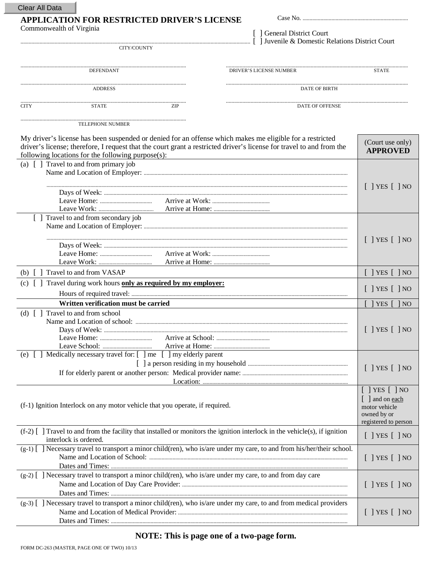## Clear All Data

## **APPLICATION FOR RESTRICTED DRIVER'S LICENSE**

| Commonwealth of Virginia                                                                                                                                                                                                                                                              | [ ] General District Court |                                                                                                                                      |
|---------------------------------------------------------------------------------------------------------------------------------------------------------------------------------------------------------------------------------------------------------------------------------------|----------------------------|--------------------------------------------------------------------------------------------------------------------------------------|
| Example of Lations District Court (1) Juvenile & Domestic Relations District Court<br>CITY/COUNTY                                                                                                                                                                                     |                            |                                                                                                                                      |
| DEFENDANT                                                                                                                                                                                                                                                                             | DRIVER'S LICENSE NUMBER    | <b>STATE</b>                                                                                                                         |
| <b>ADDRESS</b>                                                                                                                                                                                                                                                                        | <b>DATE OF BIRTH</b>       |                                                                                                                                      |
| <b>STATE</b><br><b>CITY</b><br>ZIP                                                                                                                                                                                                                                                    | DATE OF OFFENSE            |                                                                                                                                      |
| <b>TELEPHONE NUMBER</b>                                                                                                                                                                                                                                                               |                            |                                                                                                                                      |
| My driver's license has been suspended or denied for an offense which makes me eligible for a restricted<br>driver's license; therefore, I request that the court grant a restricted driver's license for travel to and from the<br>following locations for the following purpose(s): |                            | (Court use only)<br><b>APPROVED</b>                                                                                                  |
| (a) [] Travel to and from primary job                                                                                                                                                                                                                                                 |                            |                                                                                                                                      |
|                                                                                                                                                                                                                                                                                       |                            | $[$ ] YES $[$ ] NO                                                                                                                   |
| [] Travel to and from secondary job                                                                                                                                                                                                                                                   |                            | $[$ $]$ YES $[$ $]$ NO                                                                                                               |
| Travel to and from VASAP<br>(b)                                                                                                                                                                                                                                                       |                            | $[$ ] YES $[$ ] NO                                                                                                                   |
| Travel during work hours only as required by my employer:<br>(c)                                                                                                                                                                                                                      |                            | $[$ ] YES $[$ ] NO                                                                                                                   |
|                                                                                                                                                                                                                                                                                       |                            |                                                                                                                                      |
| Written verification must be carried<br>Travel to and from school<br>(d) $\lceil$ $\rceil$                                                                                                                                                                                            |                            | YES  <br>NO<br>$[$   YES $[$   NO                                                                                                    |
| (e) [] Medically necessary travel for: [] me [] my elderly parent                                                                                                                                                                                                                     |                            | $[$ ] YES $[$ ] NO                                                                                                                   |
| (f-1) Ignition Interlock on any motor vehicle that you operate, if required.                                                                                                                                                                                                          |                            | $[$ ] YES $[$ ] NO<br>$\left[\begin{array}{c}\end{array}\right]$ and on each<br>motor vehicle<br>owned by or<br>registered to person |
| (f-2) [] Travel to and from the facility that installed or monitors the ignition interlock in the vehicle(s), if ignition<br>interlock is ordered.                                                                                                                                    |                            | $[$ ] YES $[$ ] NO                                                                                                                   |
| (g-1) [] Necessary travel to transport a minor child(ren), who is/are under my care, to and from his/her/their school.                                                                                                                                                                |                            | $[$ ] YES $[$ ] NO                                                                                                                   |
| $(g-2)$ [ ] Necessary travel to transport a minor child(ren), who is/are under my care, to and from day care                                                                                                                                                                          |                            | $[$ ] YES $[$ ] NO                                                                                                                   |
| (g-3) [] Necessary travel to transport a minor child(ren), who is/are under my care, to and from medical providers                                                                                                                                                                    |                            | $[$ ] YES $[$ ] NO                                                                                                                   |

NOTE: This is page one of a two-page form.